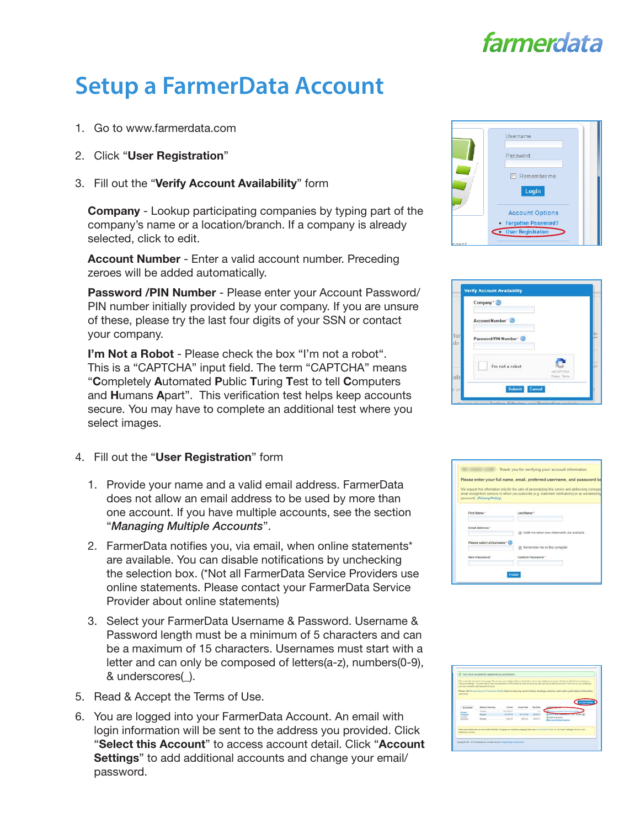## farmerdata

## **Setup a FarmerData Account**

- 1. Go to www.farmerdata.com
- 2. Click "User Registration"
- 3. Fill out the "Verify Account Availability" form

Company - Lookup participating companies by typing part of the company's name or a location/branch. If a company is already selected, click to edit.

Account Number - Enter a valid account number. Preceding zeroes will be added automatically.

Password /PIN Number - Please enter your Account Password/ PIN number initially provided by your company. If you are unsure of these, please try the last four digits of your SSN or contact your company.

I'm Not a Robot - Please check the box "I'm not a robot". This is a "CAPTCHA" input field. The term "CAPTCHA" means "Completely Automated Public Turing Test to tell Computers and Humans Apart". This verification test helps keep accounts secure. You may have to complete an additional test where you select images.

- 4. Fill out the "User Registration" form
	- 1. Provide your name and a valid email address. FarmerData does not allow an email address to be used by more than one account. If you have multiple accounts, see the section "*Managing Multiple Accounts*".
	- 2. FarmerData notifies you, via email, when online statements\* are available. You can disable notifications by unchecking the selection box. (\*Not all FarmerData Service Providers use online statements. Please contact your FarmerData Service Provider about online statements)
	- 3. Select your FarmerData Username & Password. Username & Password length must be a minimum of 5 characters and can be a maximum of 15 characters. Usernames must start with a letter and can only be composed of letters(a-z), numbers(0-9), & underscores(\_).
- 5. Read & Accept the Terms of Use.
- 6. You are logged into your FarmerData Account. An email with login information will be sent to the address you provided. Click "Select this Account" to access account detail. Click "Account Settings" to add additional accounts and change your email/ password.



| <b>reCAPTCHA</b><br>Privacy Terra |
|-----------------------------------|
|                                   |

|                               | Please enter your full name, email, preferred username, and password be                                                                                                                                     |
|-------------------------------|-------------------------------------------------------------------------------------------------------------------------------------------------------------------------------------------------------------|
| password). (Privacy Policy).  | We request this information only for the sake of personalizing this service and addressing correspon<br>email except from services to which you subscribe (e.g. statement notifications) or as warranted by |
| First Name*                   | Last Name*                                                                                                                                                                                                  |
| Email Address*                | Mobilize atta atten mark statement and remoted right                                                                                                                                                        |
| Please select a Username* (2) | IF Remember me on this computer                                                                                                                                                                             |
| New Password*                 | Confirm Password*                                                                                                                                                                                           |